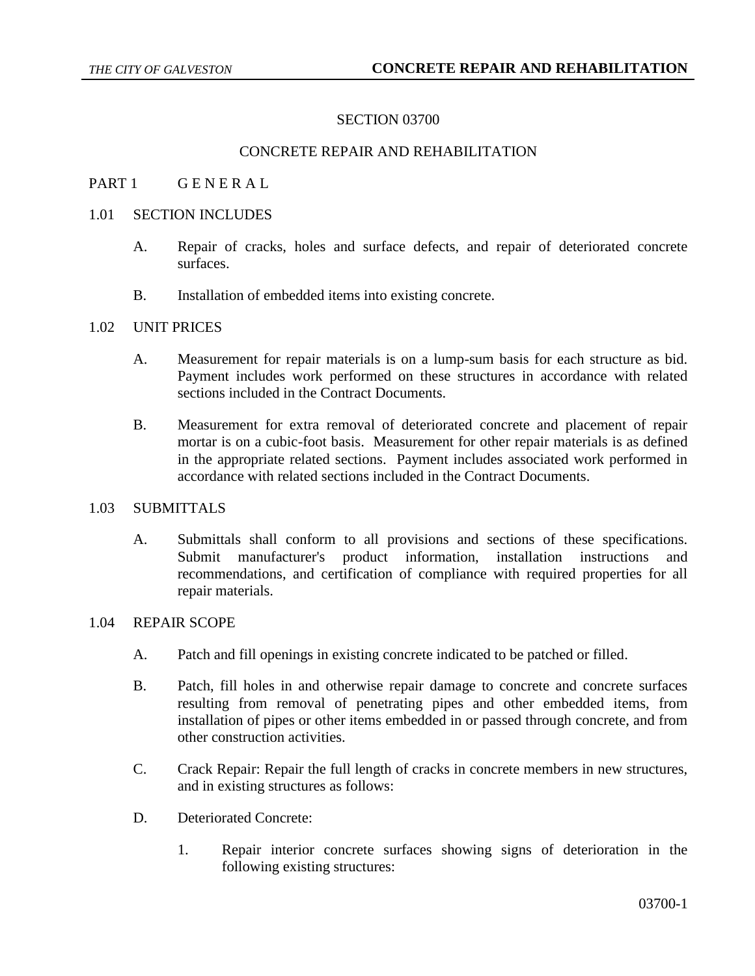### SECTION 03700

## CONCRETE REPAIR AND REHABILITATION

## PART 1 GENERAL

### 1.01 SECTION INCLUDES

- A. Repair of cracks, holes and surface defects, and repair of deteriorated concrete surfaces.
- B. Installation of embedded items into existing concrete.

# 1.02 UNIT PRICES

- A. Measurement for repair materials is on a lump-sum basis for each structure as bid. Payment includes work performed on these structures in accordance with related sections included in the Contract Documents.
- B. Measurement for extra removal of deteriorated concrete and placement of repair mortar is on a cubic-foot basis. Measurement for other repair materials is as defined in the appropriate related sections. Payment includes associated work performed in accordance with related sections included in the Contract Documents.

### 1.03 SUBMITTALS

A. Submittals shall conform to all provisions and sections of these specifications. Submit manufacturer's product information, installation instructions and recommendations, and certification of compliance with required properties for all repair materials.

### 1.04 REPAIR SCOPE

- A. Patch and fill openings in existing concrete indicated to be patched or filled.
- B. Patch, fill holes in and otherwise repair damage to concrete and concrete surfaces resulting from removal of penetrating pipes and other embedded items, from installation of pipes or other items embedded in or passed through concrete, and from other construction activities.
- C. Crack Repair: Repair the full length of cracks in concrete members in new structures, and in existing structures as follows:
- D. Deteriorated Concrete:
	- 1. Repair interior concrete surfaces showing signs of deterioration in the following existing structures: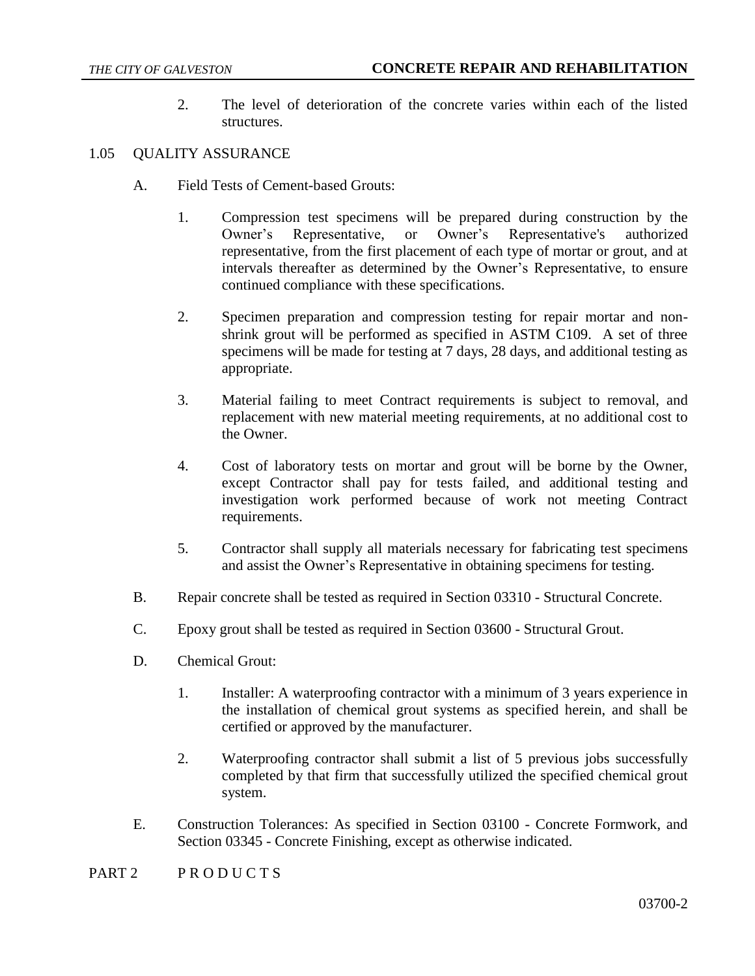2. The level of deterioration of the concrete varies within each of the listed structures.

## 1.05 QUALITY ASSURANCE

- A. Field Tests of Cement-based Grouts:
	- 1. Compression test specimens will be prepared during construction by the Owner's Representative, or Owner's Representative's authorized representative, from the first placement of each type of mortar or grout, and at intervals thereafter as determined by the Owner's Representative, to ensure continued compliance with these specifications.
	- 2. Specimen preparation and compression testing for repair mortar and nonshrink grout will be performed as specified in ASTM C109. A set of three specimens will be made for testing at 7 days, 28 days, and additional testing as appropriate.
	- 3. Material failing to meet Contract requirements is subject to removal, and replacement with new material meeting requirements, at no additional cost to the Owner.
	- 4. Cost of laboratory tests on mortar and grout will be borne by the Owner, except Contractor shall pay for tests failed, and additional testing and investigation work performed because of work not meeting Contract requirements.
	- 5. Contractor shall supply all materials necessary for fabricating test specimens and assist the Owner's Representative in obtaining specimens for testing.
- B. Repair concrete shall be tested as required in Section 03310 Structural Concrete.
- C. Epoxy grout shall be tested as required in Section 03600 Structural Grout.
- D. Chemical Grout:
	- 1. Installer: A waterproofing contractor with a minimum of 3 years experience in the installation of chemical grout systems as specified herein, and shall be certified or approved by the manufacturer.
	- 2. Waterproofing contractor shall submit a list of 5 previous jobs successfully completed by that firm that successfully utilized the specified chemical grout system.
- E. Construction Tolerances: As specified in Section 03100 Concrete Formwork, and Section 03345 - Concrete Finishing, except as otherwise indicated.
- PART 2 PRODUCTS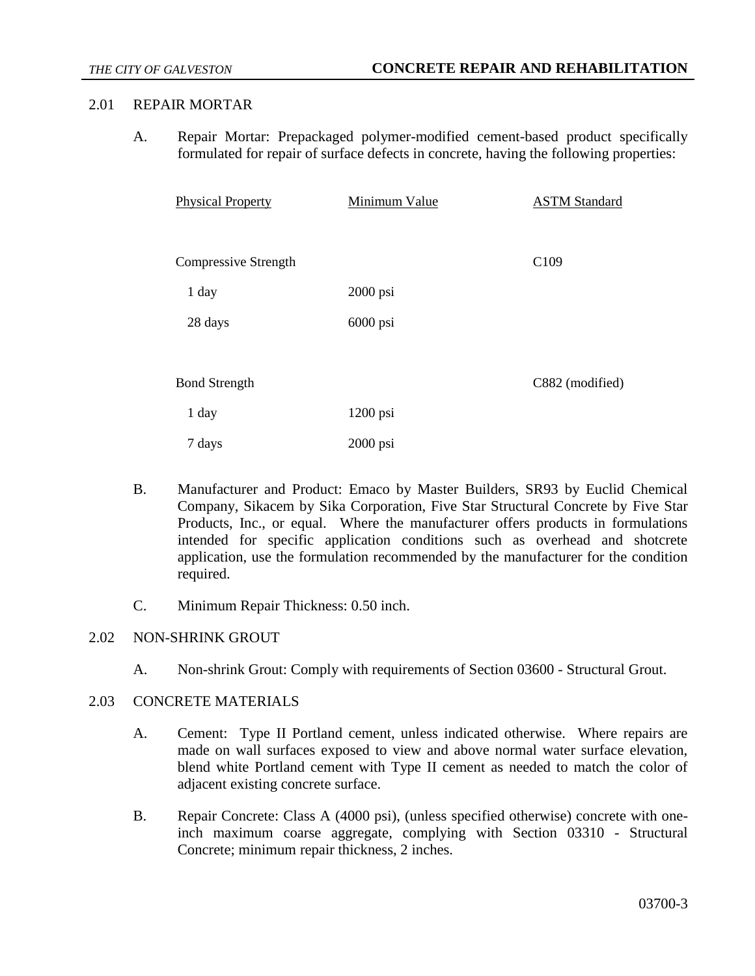### 2.01 REPAIR MORTAR

A. Repair Mortar: Prepackaged polymer-modified cement-based product specifically formulated for repair of surface defects in concrete, having the following properties:

| <b>Physical Property</b> | Minimum Value | <b>ASTM Standard</b> |
|--------------------------|---------------|----------------------|
|                          |               |                      |
| Compressive Strength     |               | C <sub>109</sub>     |
| 1 day                    | $2000$ psi    |                      |
| 28 days                  | 6000 psi      |                      |
|                          |               |                      |
| <b>Bond Strength</b>     |               | C882 (modified)      |
| 1 day                    | 1200 psi      |                      |
| 7 days                   | $2000$ psi    |                      |

- B. Manufacturer and Product: Emaco by Master Builders, SR93 by Euclid Chemical Company, Sikacem by Sika Corporation, Five Star Structural Concrete by Five Star Products, Inc., or equal. Where the manufacturer offers products in formulations intended for specific application conditions such as overhead and shotcrete application, use the formulation recommended by the manufacturer for the condition required.
- C. Minimum Repair Thickness: 0.50 inch.

# 2.02 NON-SHRINK GROUT

A. Non-shrink Grout: Comply with requirements of Section 03600 - Structural Grout.

# 2.03 CONCRETE MATERIALS

- A. Cement: Type II Portland cement, unless indicated otherwise. Where repairs are made on wall surfaces exposed to view and above normal water surface elevation, blend white Portland cement with Type II cement as needed to match the color of adjacent existing concrete surface.
- B. Repair Concrete: Class A (4000 psi), (unless specified otherwise) concrete with oneinch maximum coarse aggregate, complying with Section 03310 - Structural Concrete; minimum repair thickness, 2 inches.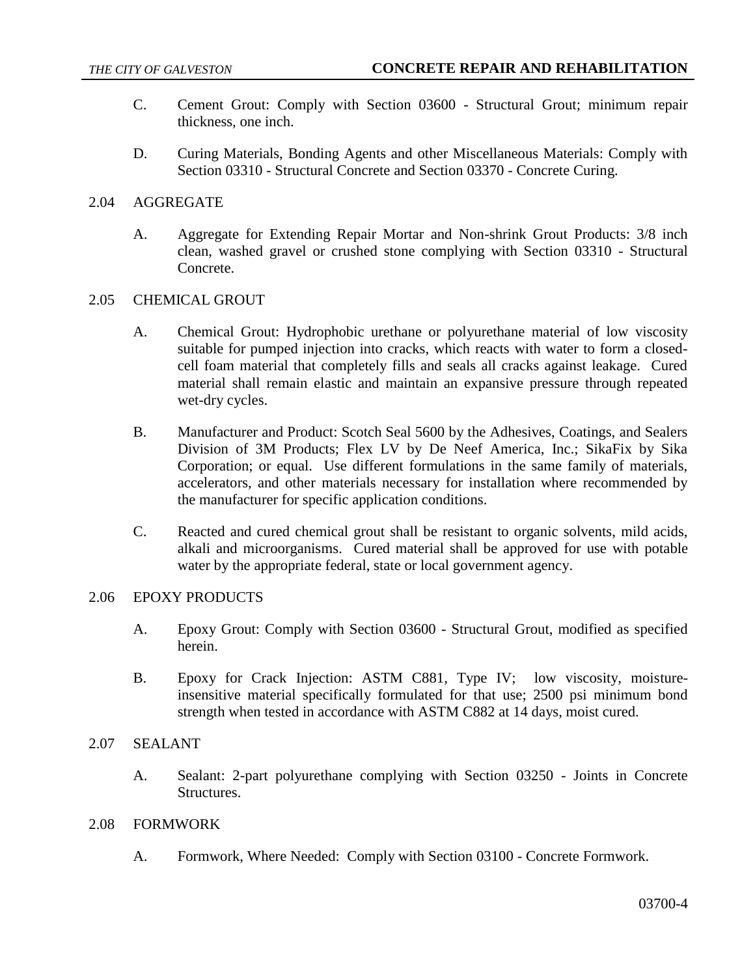- C. Cement Grout: Comply with Section 03600 Structural Grout; minimum repair thickness, one inch.
- D. Curing Materials, Bonding Agents and other Miscellaneous Materials: Comply with Section 03310 - Structural Concrete and Section 03370 - Concrete Curing.

### 2.04 AGGREGATE

A. Aggregate for Extending Repair Mortar and Non-shrink Grout Products: 3/8 inch clean, washed gravel or crushed stone complying with Section 03310 - Structural Concrete.

## 2.05 CHEMICAL GROUT

- A. Chemical Grout: Hydrophobic urethane or polyurethane material of low viscosity suitable for pumped injection into cracks, which reacts with water to form a closedcell foam material that completely fills and seals all cracks against leakage. Cured material shall remain elastic and maintain an expansive pressure through repeated wet-dry cycles.
- B. Manufacturer and Product: Scotch Seal 5600 by the Adhesives, Coatings, and Sealers Division of 3M Products; Flex LV by De Neef America, Inc.; SikaFix by Sika Corporation; or equal. Use different formulations in the same family of materials, accelerators, and other materials necessary for installation where recommended by the manufacturer for specific application conditions.
- C. Reacted and cured chemical grout shall be resistant to organic solvents, mild acids, alkali and microorganisms. Cured material shall be approved for use with potable water by the appropriate federal, state or local government agency.

### 2.06 EPOXY PRODUCTS

- A. Epoxy Grout: Comply with Section 03600 Structural Grout, modified as specified herein.
- B. Epoxy for Crack Injection: ASTM C881, Type IV; low viscosity, moistureinsensitive material specifically formulated for that use; 2500 psi minimum bond strength when tested in accordance with ASTM C882 at 14 days, moist cured.

#### 2.07 SEALANT

A. Sealant: 2-part polyurethane complying with Section 03250 - Joints in Concrete Structures.

#### 2.08 FORMWORK

A. Formwork, Where Needed: Comply with Section 03100 - Concrete Formwork.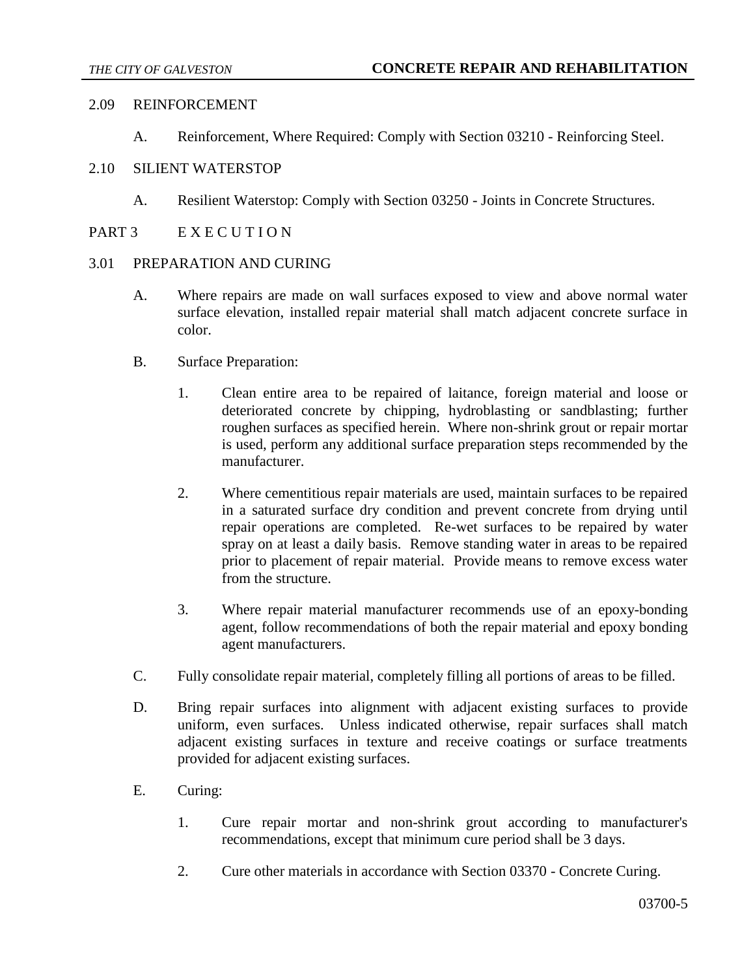### 2.09 REINFORCEMENT

A. Reinforcement, Where Required: Comply with Section 03210 - Reinforcing Steel.

## 2.10 SILIENT WATERSTOP

- A. Resilient Waterstop: Comply with Section 03250 Joints in Concrete Structures.
- PART 3 E X E C U T I O N

### 3.01 PREPARATION AND CURING

- A. Where repairs are made on wall surfaces exposed to view and above normal water surface elevation, installed repair material shall match adjacent concrete surface in color.
- B. Surface Preparation:
	- 1. Clean entire area to be repaired of laitance, foreign material and loose or deteriorated concrete by chipping, hydroblasting or sandblasting; further roughen surfaces as specified herein. Where non-shrink grout or repair mortar is used, perform any additional surface preparation steps recommended by the manufacturer.
	- 2. Where cementitious repair materials are used, maintain surfaces to be repaired in a saturated surface dry condition and prevent concrete from drying until repair operations are completed. Re-wet surfaces to be repaired by water spray on at least a daily basis. Remove standing water in areas to be repaired prior to placement of repair material. Provide means to remove excess water from the structure.
	- 3. Where repair material manufacturer recommends use of an epoxy-bonding agent, follow recommendations of both the repair material and epoxy bonding agent manufacturers.
- C. Fully consolidate repair material, completely filling all portions of areas to be filled.
- D. Bring repair surfaces into alignment with adjacent existing surfaces to provide uniform, even surfaces. Unless indicated otherwise, repair surfaces shall match adjacent existing surfaces in texture and receive coatings or surface treatments provided for adjacent existing surfaces.
- E. Curing:
	- 1. Cure repair mortar and non-shrink grout according to manufacturer's recommendations, except that minimum cure period shall be 3 days.
	- 2. Cure other materials in accordance with Section 03370 Concrete Curing.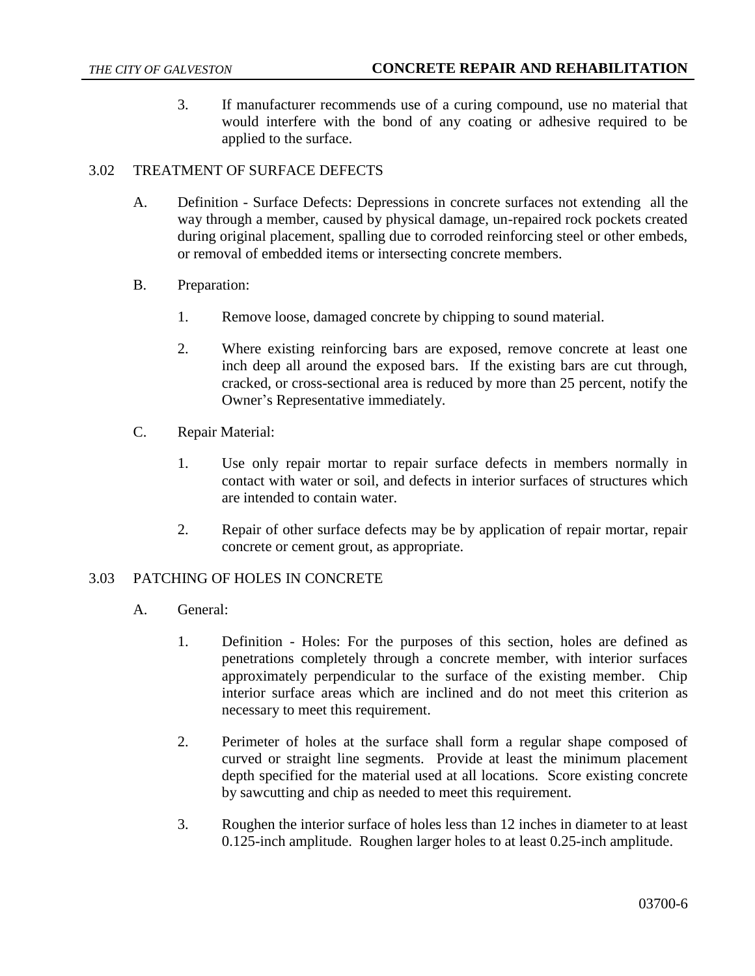3. If manufacturer recommends use of a curing compound, use no material that would interfere with the bond of any coating or adhesive required to be applied to the surface.

# 3.02 TREATMENT OF SURFACE DEFECTS

- A. Definition Surface Defects: Depressions in concrete surfaces not extending all the way through a member, caused by physical damage, un-repaired rock pockets created during original placement, spalling due to corroded reinforcing steel or other embeds, or removal of embedded items or intersecting concrete members.
- B. Preparation:
	- 1. Remove loose, damaged concrete by chipping to sound material.
	- 2. Where existing reinforcing bars are exposed, remove concrete at least one inch deep all around the exposed bars. If the existing bars are cut through, cracked, or cross-sectional area is reduced by more than 25 percent, notify the Owner's Representative immediately.
- C. Repair Material:
	- 1. Use only repair mortar to repair surface defects in members normally in contact with water or soil, and defects in interior surfaces of structures which are intended to contain water.
	- 2. Repair of other surface defects may be by application of repair mortar, repair concrete or cement grout, as appropriate.

# 3.03 PATCHING OF HOLES IN CONCRETE

- A. General:
	- 1. Definition Holes: For the purposes of this section, holes are defined as penetrations completely through a concrete member, with interior surfaces approximately perpendicular to the surface of the existing member. Chip interior surface areas which are inclined and do not meet this criterion as necessary to meet this requirement.
	- 2. Perimeter of holes at the surface shall form a regular shape composed of curved or straight line segments. Provide at least the minimum placement depth specified for the material used at all locations. Score existing concrete by sawcutting and chip as needed to meet this requirement.
	- 3. Roughen the interior surface of holes less than 12 inches in diameter to at least 0.125-inch amplitude. Roughen larger holes to at least 0.25-inch amplitude.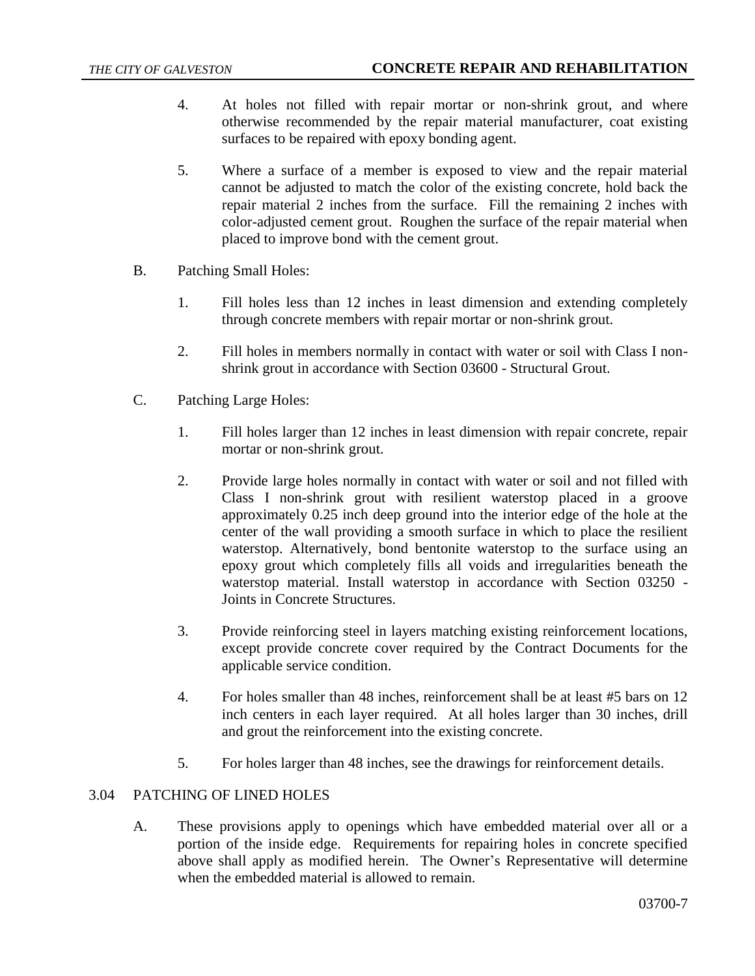- 4. At holes not filled with repair mortar or non-shrink grout, and where otherwise recommended by the repair material manufacturer, coat existing surfaces to be repaired with epoxy bonding agent.
- 5. Where a surface of a member is exposed to view and the repair material cannot be adjusted to match the color of the existing concrete, hold back the repair material 2 inches from the surface. Fill the remaining 2 inches with color-adjusted cement grout. Roughen the surface of the repair material when placed to improve bond with the cement grout.
- B. Patching Small Holes:
	- 1. Fill holes less than 12 inches in least dimension and extending completely through concrete members with repair mortar or non-shrink grout.
	- 2. Fill holes in members normally in contact with water or soil with Class I nonshrink grout in accordance with Section 03600 - Structural Grout.
- C. Patching Large Holes:
	- 1. Fill holes larger than 12 inches in least dimension with repair concrete, repair mortar or non-shrink grout.
	- 2. Provide large holes normally in contact with water or soil and not filled with Class I non-shrink grout with resilient waterstop placed in a groove approximately 0.25 inch deep ground into the interior edge of the hole at the center of the wall providing a smooth surface in which to place the resilient waterstop. Alternatively, bond bentonite waterstop to the surface using an epoxy grout which completely fills all voids and irregularities beneath the waterstop material. Install waterstop in accordance with Section 03250 - Joints in Concrete Structures.
	- 3. Provide reinforcing steel in layers matching existing reinforcement locations, except provide concrete cover required by the Contract Documents for the applicable service condition.
	- 4. For holes smaller than 48 inches, reinforcement shall be at least #5 bars on 12 inch centers in each layer required. At all holes larger than 30 inches, drill and grout the reinforcement into the existing concrete.
	- 5. For holes larger than 48 inches, see the drawings for reinforcement details.

### 3.04 PATCHING OF LINED HOLES

A. These provisions apply to openings which have embedded material over all or a portion of the inside edge. Requirements for repairing holes in concrete specified above shall apply as modified herein. The Owner's Representative will determine when the embedded material is allowed to remain.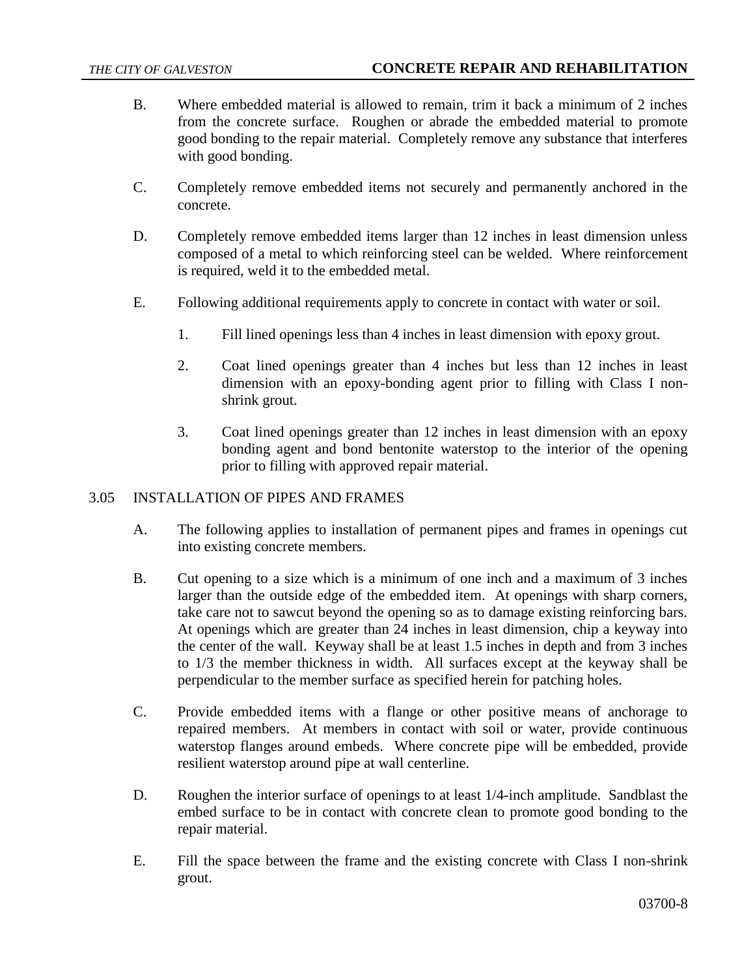- B. Where embedded material is allowed to remain, trim it back a minimum of 2 inches from the concrete surface. Roughen or abrade the embedded material to promote good bonding to the repair material. Completely remove any substance that interferes with good bonding.
- C. Completely remove embedded items not securely and permanently anchored in the concrete.
- D. Completely remove embedded items larger than 12 inches in least dimension unless composed of a metal to which reinforcing steel can be welded. Where reinforcement is required, weld it to the embedded metal.
- E. Following additional requirements apply to concrete in contact with water or soil.
	- 1. Fill lined openings less than 4 inches in least dimension with epoxy grout.
	- 2. Coat lined openings greater than 4 inches but less than 12 inches in least dimension with an epoxy-bonding agent prior to filling with Class I nonshrink grout.
	- 3. Coat lined openings greater than 12 inches in least dimension with an epoxy bonding agent and bond bentonite waterstop to the interior of the opening prior to filling with approved repair material.

# 3.05 INSTALLATION OF PIPES AND FRAMES

- A. The following applies to installation of permanent pipes and frames in openings cut into existing concrete members.
- B. Cut opening to a size which is a minimum of one inch and a maximum of 3 inches larger than the outside edge of the embedded item. At openings with sharp corners, take care not to sawcut beyond the opening so as to damage existing reinforcing bars. At openings which are greater than 24 inches in least dimension, chip a keyway into the center of the wall. Keyway shall be at least 1.5 inches in depth and from 3 inches to 1/3 the member thickness in width. All surfaces except at the keyway shall be perpendicular to the member surface as specified herein for patching holes.
- C. Provide embedded items with a flange or other positive means of anchorage to repaired members. At members in contact with soil or water, provide continuous waterstop flanges around embeds. Where concrete pipe will be embedded, provide resilient waterstop around pipe at wall centerline.
- D. Roughen the interior surface of openings to at least 1/4-inch amplitude. Sandblast the embed surface to be in contact with concrete clean to promote good bonding to the repair material.
- E. Fill the space between the frame and the existing concrete with Class I non-shrink grout.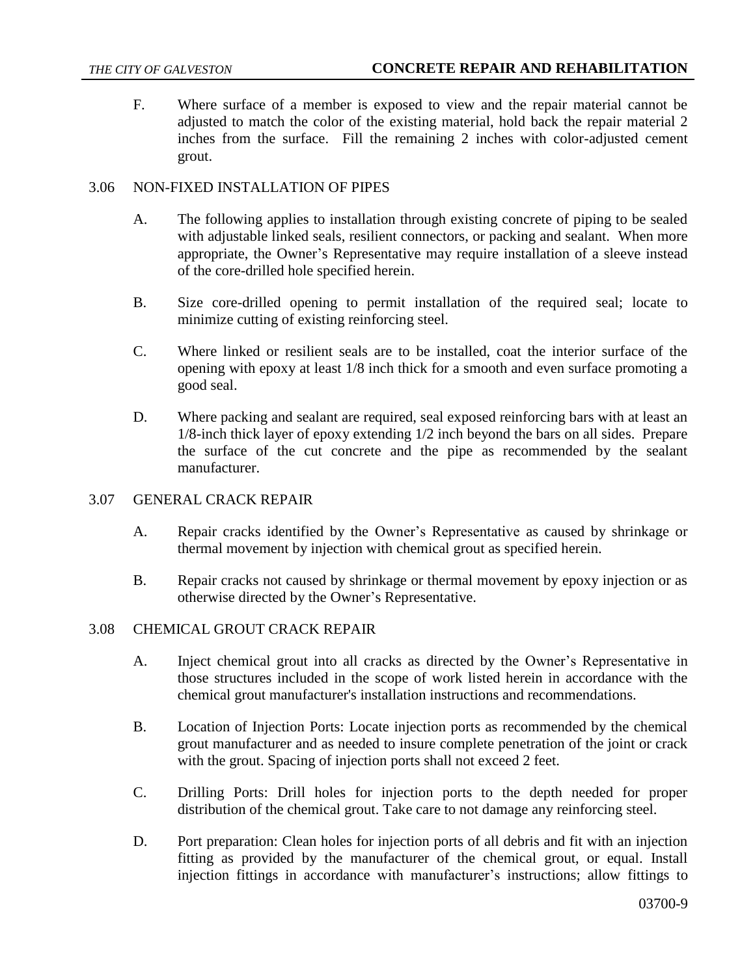F. Where surface of a member is exposed to view and the repair material cannot be adjusted to match the color of the existing material, hold back the repair material 2 inches from the surface. Fill the remaining 2 inches with color-adjusted cement grout.

# 3.06 NON-FIXED INSTALLATION OF PIPES

- A. The following applies to installation through existing concrete of piping to be sealed with adjustable linked seals, resilient connectors, or packing and sealant. When more appropriate, the Owner's Representative may require installation of a sleeve instead of the core-drilled hole specified herein.
- B. Size core-drilled opening to permit installation of the required seal; locate to minimize cutting of existing reinforcing steel.
- C. Where linked or resilient seals are to be installed, coat the interior surface of the opening with epoxy at least 1/8 inch thick for a smooth and even surface promoting a good seal.
- D. Where packing and sealant are required, seal exposed reinforcing bars with at least an 1/8-inch thick layer of epoxy extending 1/2 inch beyond the bars on all sides. Prepare the surface of the cut concrete and the pipe as recommended by the sealant manufacturer.

# 3.07 GENERAL CRACK REPAIR

- A. Repair cracks identified by the Owner's Representative as caused by shrinkage or thermal movement by injection with chemical grout as specified herein.
- B. Repair cracks not caused by shrinkage or thermal movement by epoxy injection or as otherwise directed by the Owner's Representative.

# 3.08 CHEMICAL GROUT CRACK REPAIR

- A. Inject chemical grout into all cracks as directed by the Owner's Representative in those structures included in the scope of work listed herein in accordance with the chemical grout manufacturer's installation instructions and recommendations.
- B. Location of Injection Ports: Locate injection ports as recommended by the chemical grout manufacturer and as needed to insure complete penetration of the joint or crack with the grout. Spacing of injection ports shall not exceed 2 feet.
- C. Drilling Ports: Drill holes for injection ports to the depth needed for proper distribution of the chemical grout. Take care to not damage any reinforcing steel.
- D. Port preparation: Clean holes for injection ports of all debris and fit with an injection fitting as provided by the manufacturer of the chemical grout, or equal. Install injection fittings in accordance with manufacturer's instructions; allow fittings to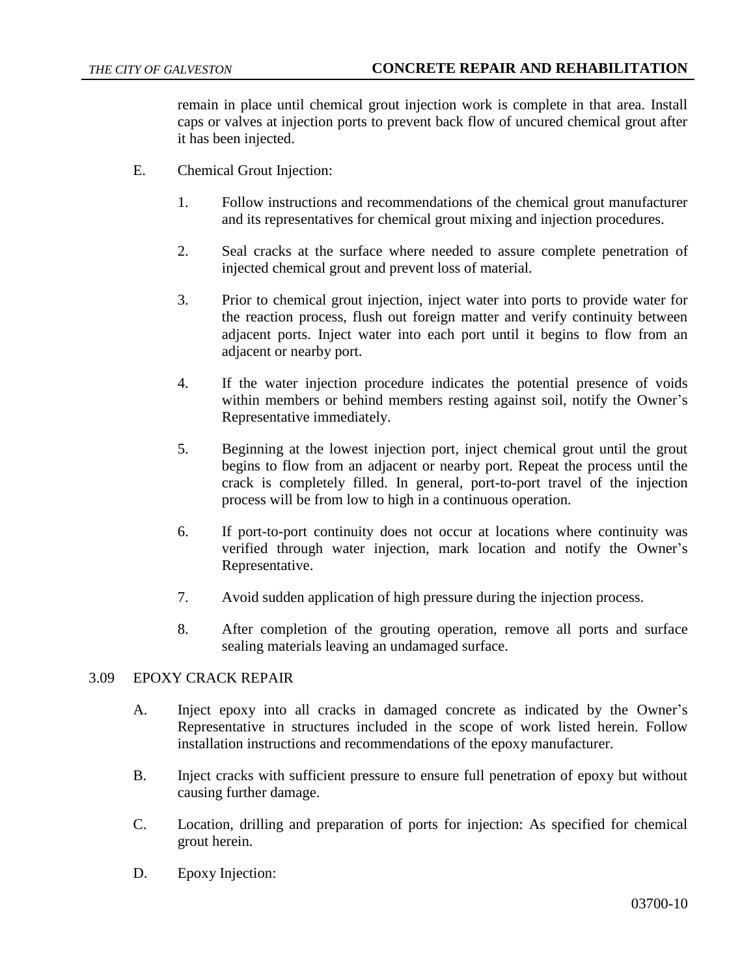remain in place until chemical grout injection work is complete in that area. Install caps or valves at injection ports to prevent back flow of uncured chemical grout after it has been injected.

- E. Chemical Grout Injection:
	- 1. Follow instructions and recommendations of the chemical grout manufacturer and its representatives for chemical grout mixing and injection procedures.
	- 2. Seal cracks at the surface where needed to assure complete penetration of injected chemical grout and prevent loss of material.
	- 3. Prior to chemical grout injection, inject water into ports to provide water for the reaction process, flush out foreign matter and verify continuity between adjacent ports. Inject water into each port until it begins to flow from an adjacent or nearby port.
	- 4. If the water injection procedure indicates the potential presence of voids within members or behind members resting against soil, notify the Owner's Representative immediately.
	- 5. Beginning at the lowest injection port, inject chemical grout until the grout begins to flow from an adjacent or nearby port. Repeat the process until the crack is completely filled. In general, port-to-port travel of the injection process will be from low to high in a continuous operation.
	- 6. If port-to-port continuity does not occur at locations where continuity was verified through water injection, mark location and notify the Owner's Representative.
	- 7. Avoid sudden application of high pressure during the injection process.
	- 8. After completion of the grouting operation, remove all ports and surface sealing materials leaving an undamaged surface.

# 3.09 EPOXY CRACK REPAIR

- A. Inject epoxy into all cracks in damaged concrete as indicated by the Owner's Representative in structures included in the scope of work listed herein. Follow installation instructions and recommendations of the epoxy manufacturer.
- B. Inject cracks with sufficient pressure to ensure full penetration of epoxy but without causing further damage.
- C. Location, drilling and preparation of ports for injection: As specified for chemical grout herein.
- D. Epoxy Injection: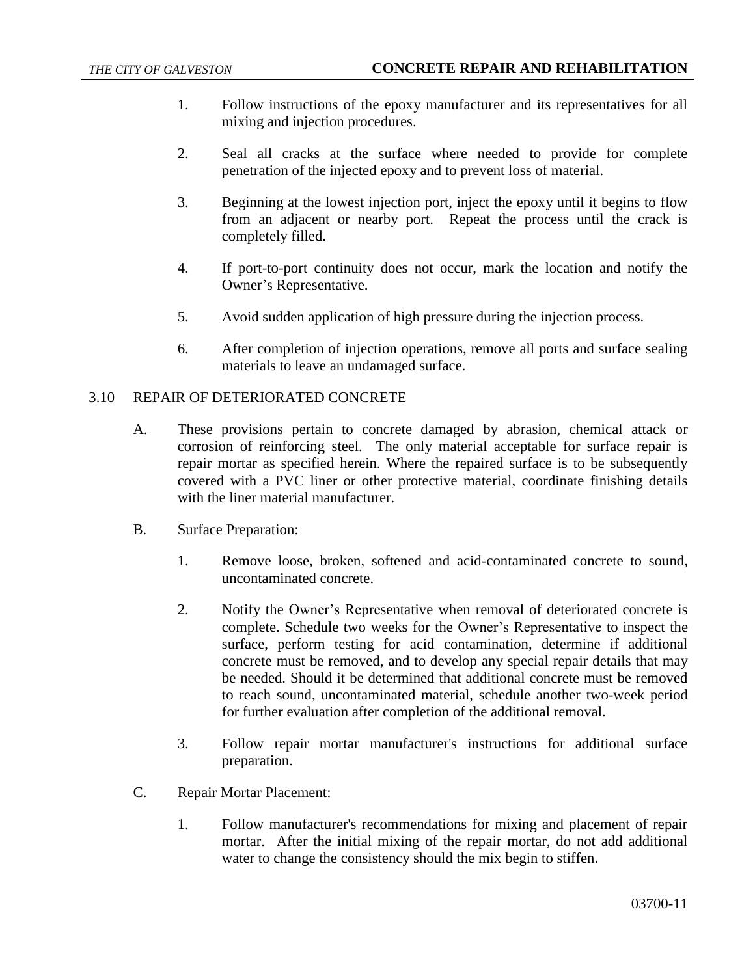- 1. Follow instructions of the epoxy manufacturer and its representatives for all mixing and injection procedures.
- 2. Seal all cracks at the surface where needed to provide for complete penetration of the injected epoxy and to prevent loss of material.
- 3. Beginning at the lowest injection port, inject the epoxy until it begins to flow from an adjacent or nearby port. Repeat the process until the crack is completely filled.
- 4. If port-to-port continuity does not occur, mark the location and notify the Owner's Representative.
- 5. Avoid sudden application of high pressure during the injection process.
- 6. After completion of injection operations, remove all ports and surface sealing materials to leave an undamaged surface.

## 3.10 REPAIR OF DETERIORATED CONCRETE

- A. These provisions pertain to concrete damaged by abrasion, chemical attack or corrosion of reinforcing steel. The only material acceptable for surface repair is repair mortar as specified herein. Where the repaired surface is to be subsequently covered with a PVC liner or other protective material, coordinate finishing details with the liner material manufacturer.
- B. Surface Preparation:
	- 1. Remove loose, broken, softened and acid-contaminated concrete to sound, uncontaminated concrete.
	- 2. Notify the Owner's Representative when removal of deteriorated concrete is complete. Schedule two weeks for the Owner's Representative to inspect the surface, perform testing for acid contamination, determine if additional concrete must be removed, and to develop any special repair details that may be needed. Should it be determined that additional concrete must be removed to reach sound, uncontaminated material, schedule another two-week period for further evaluation after completion of the additional removal.
	- 3. Follow repair mortar manufacturer's instructions for additional surface preparation.
- C. Repair Mortar Placement:
	- 1. Follow manufacturer's recommendations for mixing and placement of repair mortar. After the initial mixing of the repair mortar, do not add additional water to change the consistency should the mix begin to stiffen.